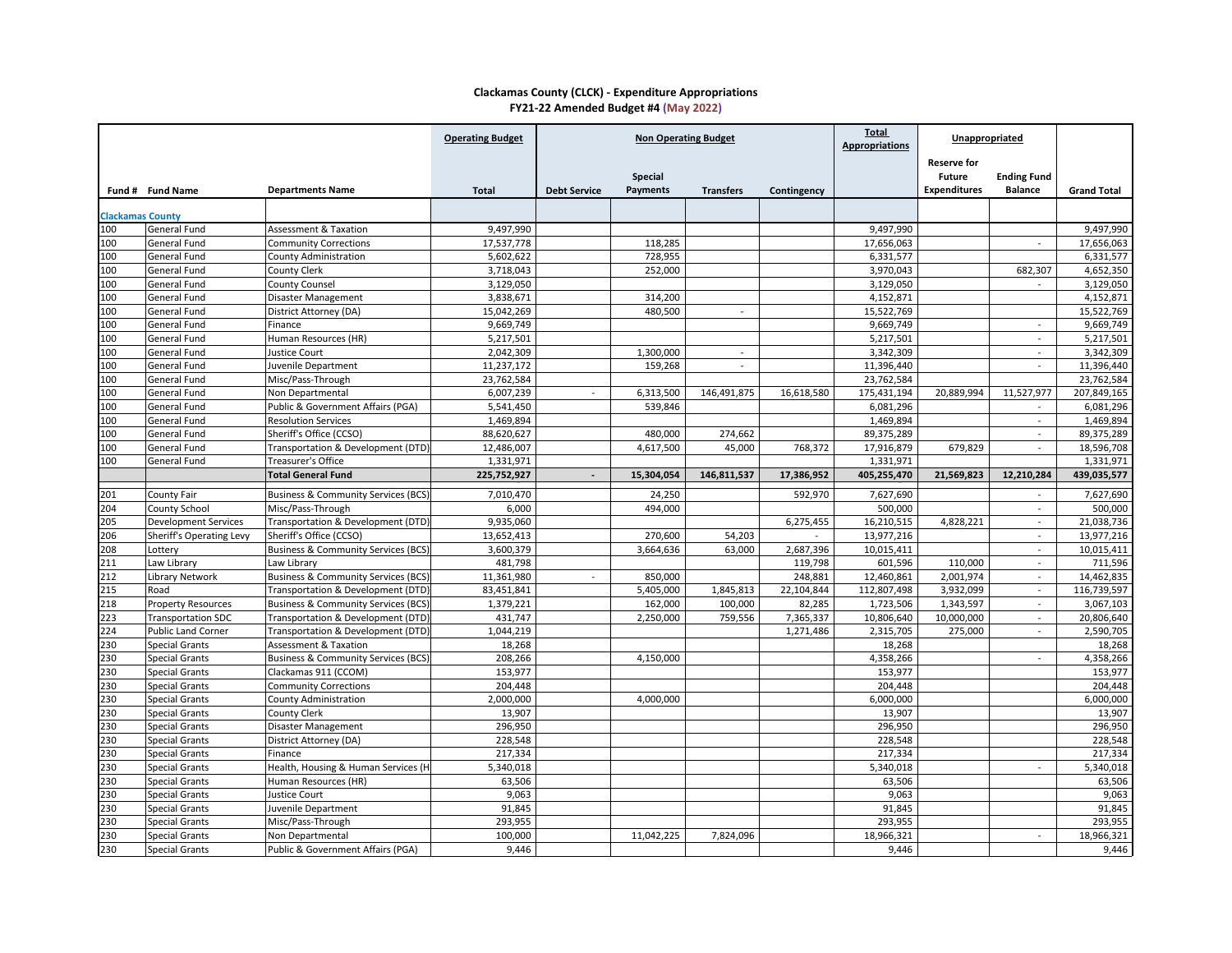|                         |                                 |                                                | <b>Operating Budget</b> | <b>Non Operating Budget</b> |                 |                  | <b>Total</b><br><b>Appropriations</b> | Unappropriated |                     |                    |                    |
|-------------------------|---------------------------------|------------------------------------------------|-------------------------|-----------------------------|-----------------|------------------|---------------------------------------|----------------|---------------------|--------------------|--------------------|
|                         |                                 |                                                |                         |                             |                 |                  |                                       |                | <b>Reserve for</b>  |                    |                    |
|                         |                                 |                                                |                         |                             | <b>Special</b>  |                  |                                       |                | <b>Future</b>       | <b>Ending Fund</b> |                    |
|                         | Fund # Fund Name                | <b>Departments Name</b>                        | <b>Total</b>            | <b>Debt Service</b>         | <b>Payments</b> | <b>Transfers</b> | Contingency                           |                | <b>Expenditures</b> | <b>Balance</b>     | <b>Grand Total</b> |
|                         |                                 |                                                |                         |                             |                 |                  |                                       |                |                     |                    |                    |
| <b>Clackamas County</b> |                                 |                                                |                         |                             |                 |                  |                                       |                |                     |                    |                    |
| 100                     | <b>General Fund</b>             | <b>Assessment &amp; Taxation</b>               | 9,497,990               |                             |                 |                  |                                       | 9,497,990      |                     |                    | 9,497,990          |
| 100                     | <b>General Fund</b>             | <b>Community Corrections</b>                   | 17,537,778              |                             | 118,285         |                  |                                       | 17,656,063     |                     | $\blacksquare$     | 17,656,063         |
| 100                     | <b>General Fund</b>             | <b>County Administration</b>                   | 5,602,622               |                             | 728,955         |                  |                                       | 6,331,577      |                     |                    | 6,331,577          |
| 100                     | <b>General Fund</b>             | County Clerk                                   | 3,718,043               |                             | 252,000         |                  |                                       | 3,970,043      |                     | 682,307            | 4,652,350          |
| 100                     | <b>General Fund</b>             | <b>County Counsel</b>                          | 3,129,050               |                             |                 |                  |                                       | 3,129,050      |                     |                    | 3,129,050          |
| 100                     | <b>General Fund</b>             | Disaster Management                            | 3,838,671               |                             | 314,200         |                  |                                       | 4,152,871      |                     |                    | 4,152,871          |
| 100                     | <b>General Fund</b>             | District Attorney (DA)                         | 15,042,269              |                             | 480,500         |                  |                                       | 15,522,769     |                     |                    | 15,522,769         |
| 100                     | <b>General Fund</b>             | Finance                                        | 9,669,749               |                             |                 |                  |                                       | 9,669,749      |                     |                    | 9,669,749          |
| 100                     | <b>General Fund</b>             | Human Resources (HR)                           | 5,217,501               |                             |                 |                  |                                       | 5,217,501      |                     |                    | 5,217,501          |
| 100                     | <b>General Fund</b>             | <b>Justice Court</b>                           | 2,042,309               |                             | 1,300,000       |                  |                                       | 3,342,309      |                     |                    | 3,342,309          |
| 100                     | <b>General Fund</b>             | Juvenile Department                            | 11,237,172              |                             | 159,268         |                  |                                       | 11,396,440     |                     | $\blacksquare$     | 11,396,440         |
| 100                     | <b>General Fund</b>             | Misc/Pass-Through                              | 23,762,584              |                             |                 |                  |                                       | 23,762,584     |                     |                    | 23,762,584         |
| 100                     | <b>General Fund</b>             | Non Departmental                               | 6,007,239               | $\overline{\phantom{0}}$    | 6,313,500       | 146,491,875      | 16,618,580                            | 175,431,194    | 20,889,994          | 11,527,977         | 207,849,165        |
| 100                     | <b>General Fund</b>             | Public & Government Affairs (PGA)              | 5,541,450               |                             | 539,846         |                  |                                       | 6,081,296      |                     |                    | 6,081,296          |
| 100                     | <b>General Fund</b>             | <b>Resolution Services</b>                     | 1,469,894               |                             |                 |                  |                                       | 1,469,894      |                     | $\sim$             | 1,469,894          |
| 100                     | <b>General Fund</b>             | Sheriff's Office (CCSO)                        | 88,620,627              |                             | 480,000         | 274,662          |                                       | 89,375,289     |                     |                    | 89,375,289         |
| 100                     | <b>General Fund</b>             | Transportation & Development (DTD)             | 12,486,007              |                             | 4,617,500       | 45,000           | 768,372                               | 17,916,879     | 679,829             |                    | 18,596,708         |
| 100                     | <b>General Fund</b>             | Treasurer's Office                             | 1,331,971               |                             |                 |                  |                                       | 1,331,971      |                     |                    | 1,331,971          |
|                         |                                 | <b>Total General Fund</b>                      | 225,752,927             |                             | 15,304,054      | 146,811,537      | 17,386,952                            | 405,255,470    | 21,569,823          | 12,210,284         | 439,035,577        |
| 201                     | <b>County Fair</b>              | <b>Business &amp; Community Services (BCS)</b> | 7,010,470               |                             | 24,250          |                  | 592,970                               | 7,627,690      |                     | $\sim$             | 7,627,690          |
| 204                     | <b>County School</b>            | Misc/Pass-Through                              | 6,000                   |                             | 494,000         |                  |                                       | 500,000        |                     |                    | 500,000            |
| 205                     | <b>Development Services</b>     | Transportation & Development (DTD)             | 9,935,060               |                             |                 |                  | 6,275,455                             | 16,210,515     | 4,828,221           | $\sim$ .           | 21,038,736         |
| 206                     | <b>Sheriff's Operating Levy</b> | Sheriff's Office (CCSO)                        | 13,652,413              |                             | 270,600         | 54,203           |                                       | 13,977,216     |                     | $\sim$             | 13,977,216         |
| 208                     | Lottery                         | <b>Business &amp; Community Services (BCS)</b> | 3,600,379               |                             | 3,664,636       | 63,000           | 2,687,396                             | 10,015,411     |                     | $\sim$             | 10,015,411         |
| 211                     | Law Library                     | Law Library                                    | 481,798                 |                             |                 |                  | 119,798                               | 601,596        | 110,000             | $\sim$             | 711,596            |
| 212                     | <b>Library Network</b>          | <b>Business &amp; Community Services (BCS)</b> | 11,361,980              |                             | 850,000         |                  | 248,881                               | 12,460,861     | 2,001,974           | $\sim$             | 14,462,835         |
| 215                     | Road                            | Transportation & Development (DTD)             | 83,451,841              |                             | 5,405,000       | 1,845,813        | 22,104,844                            | 112,807,498    | 3,932,099           | $\sim$             | 116,739,597        |
| 218                     | <b>Property Resources</b>       | <b>Business &amp; Community Services (BCS)</b> | 1,379,221               |                             | 162,000         | 100,000          | 82,285                                | 1,723,506      | 1,343,597           | $\blacksquare$     | 3,067,103          |
| 223                     | <b>Transportation SDC</b>       | Transportation & Development (DTD)             | 431,747                 |                             | 2,250,000       | 759,556          | 7,365,337                             | 10,806,640     | 10,000,000          |                    | 20,806,640         |
| 224                     | <b>Public Land Corner</b>       | Transportation & Development (DTD)             | 1,044,219               |                             |                 |                  | 1,271,486                             | 2,315,705      | 275,000             |                    | 2,590,705          |
| 230                     | <b>Special Grants</b>           | <b>Assessment &amp; Taxation</b>               | 18,268                  |                             |                 |                  |                                       | 18,268         |                     |                    | 18,268             |
| 230                     | <b>Special Grants</b>           | <b>Business &amp; Community Services (BCS)</b> | 208,266                 |                             | 4,150,000       |                  |                                       | 4,358,266      |                     | $\blacksquare$     | 4,358,266          |
| 230                     | <b>Special Grants</b>           | Clackamas 911 (CCOM)                           | 153,977                 |                             |                 |                  |                                       | 153,977        |                     |                    | 153,977            |
| 230                     | <b>Special Grants</b>           | <b>Community Corrections</b>                   | 204,448                 |                             |                 |                  |                                       | 204,448        |                     |                    | 204,448            |
| 230                     | <b>Special Grants</b>           | <b>County Administration</b>                   | 2,000,000               |                             | 4,000,000       |                  |                                       | 6,000,000      |                     |                    | 6,000,000          |
| 230                     | <b>Special Grants</b>           | County Clerk                                   | 13,907                  |                             |                 |                  |                                       | 13,907         |                     |                    | 13,907             |
| 230                     | <b>Special Grants</b>           | Disaster Management                            | 296,950                 |                             |                 |                  |                                       | 296,950        |                     |                    | 296,950            |
| 230                     | <b>Special Grants</b>           | District Attorney (DA)                         | 228,548                 |                             |                 |                  |                                       | 228,548        |                     |                    | 228,548            |
| 230                     | <b>Special Grants</b>           | Finance                                        | 217,334                 |                             |                 |                  |                                       | 217,334        |                     |                    | 217,334            |
| 230                     | <b>Special Grants</b>           | Health, Housing & Human Services (H.           | 5,340,018               |                             |                 |                  |                                       | 5,340,018      |                     |                    | 5,340,018          |
| 230                     | <b>Special Grants</b>           | Human Resources (HR)                           | 63,506                  |                             |                 |                  |                                       | 63,506         |                     |                    | 63,506             |
| 230                     | <b>Special Grants</b>           | <b>Justice Court</b>                           | 9,063                   |                             |                 |                  |                                       | 9,063          |                     |                    | 9,063              |
| 230                     | <b>Special Grants</b>           | <b>Iuvenile Department</b>                     | 91,845                  |                             |                 |                  |                                       | 91,845         |                     |                    | 91,845             |
| 230                     | <b>Special Grants</b>           | Misc/Pass-Through                              | 293,955                 |                             |                 |                  |                                       | 293,955        |                     |                    | 293,955            |
| 230                     | <b>Special Grants</b>           | Non Departmental                               | 100,000                 |                             | 11,042,225      | 7,824,096        |                                       | 18,966,321     |                     | $\sim$             | 18,966,321         |
| 230                     | <b>Special Grants</b>           | Public & Government Affairs (PGA)              | 9,446                   |                             |                 |                  |                                       | 9,446          |                     |                    | 9,446              |
|                         |                                 |                                                |                         |                             |                 |                  |                                       |                |                     |                    |                    |

## **Clackamas County (CLCK) - Expenditure Appropriations FY21-22 Amended Budget #4 (May 2022)**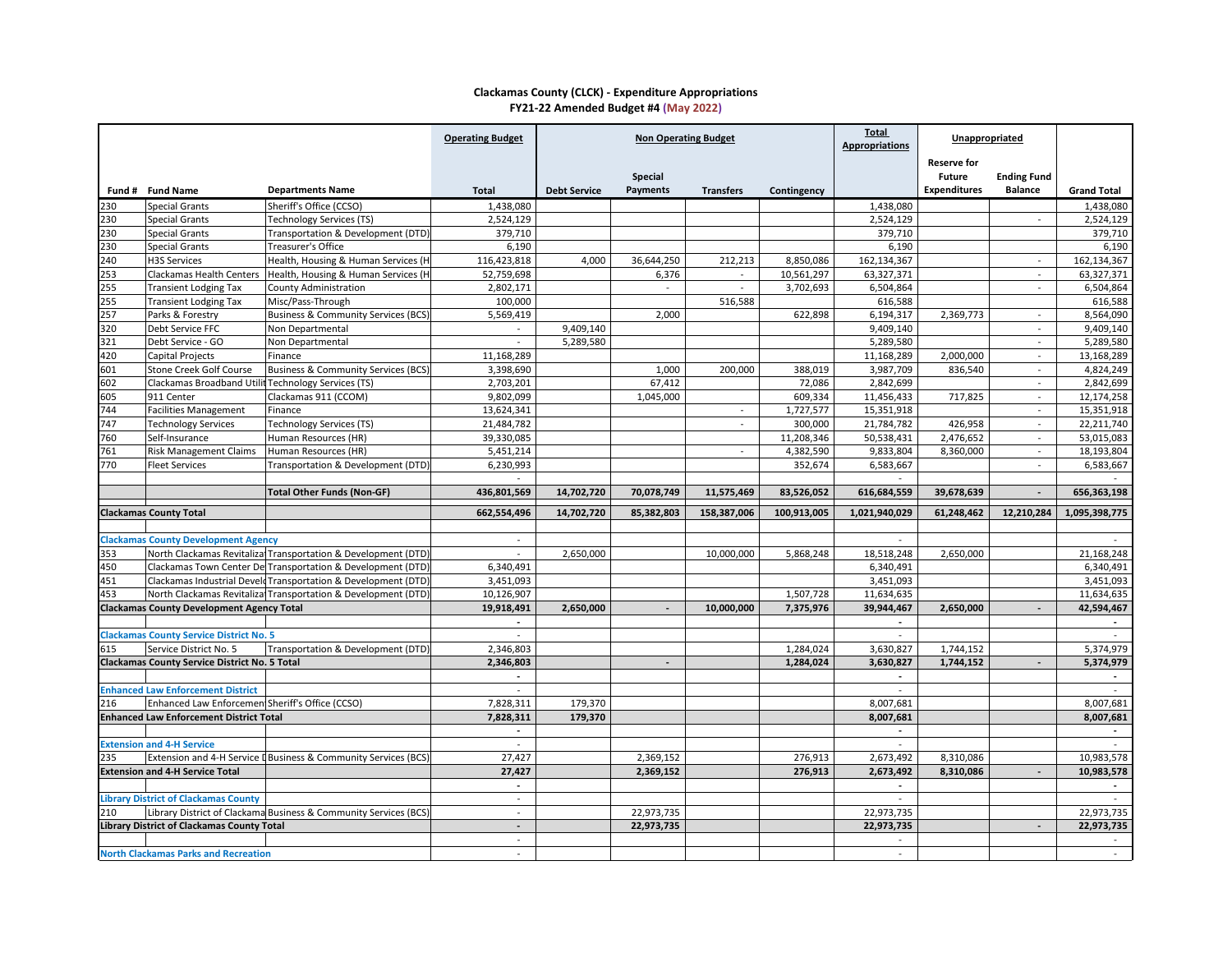## **Clackamas County (CLCK) - Expenditure Appropriations FY21-22 Amended Budget #4 (May 2022)**

|     |                                                      |                                                                  | <b>Operating Budget</b>  | <b>Non Operating Budget</b> |                 |                  |             | <b>Total</b><br><b>Appropriations</b> | Unappropriated      |                    |                      |
|-----|------------------------------------------------------|------------------------------------------------------------------|--------------------------|-----------------------------|-----------------|------------------|-------------|---------------------------------------|---------------------|--------------------|----------------------|
|     |                                                      |                                                                  |                          |                             |                 |                  |             |                                       | <b>Reserve for</b>  |                    |                      |
|     |                                                      |                                                                  |                          |                             | <b>Special</b>  |                  |             |                                       | <b>Future</b>       | <b>Ending Fund</b> |                      |
|     | Fund # Fund Name                                     | <b>Departments Name</b>                                          | <b>Total</b>             | <b>Debt Service</b>         | <b>Payments</b> | <b>Transfers</b> | Contingency |                                       | <b>Expenditures</b> | <b>Balance</b>     | <b>Grand Total</b>   |
| 230 | <b>Special Grants</b>                                | Sheriff's Office (CCSO)                                          | 1,438,080                |                             |                 |                  |             | 1,438,080                             |                     |                    | 1,438,080            |
| 230 | <b>Special Grants</b>                                | <b>Technology Services (TS)</b>                                  | 2,524,129                |                             |                 |                  |             | 2,524,129                             |                     | $\sim$             | 2,524,129            |
| 230 | <b>Special Grants</b>                                | Transportation & Development (DTD)                               | 379,710                  |                             |                 |                  |             | 379,710                               |                     |                    | 379,710              |
| 230 | <b>Special Grants</b>                                | Treasurer's Office                                               | 6,190                    |                             |                 |                  |             | 6,190                                 |                     |                    | 6,190                |
| 240 | <b>H3S Services</b>                                  | Health, Housing & Human Services (H.                             | 116,423,818              | 4,000                       | 36,644,250      | 212,213          | 8,850,086   | 162,134,367                           |                     | $\sim$             | 162,134,367          |
| 253 | <b>Clackamas Health Centers</b>                      | Health, Housing & Human Services (H                              | 52,759,698               |                             | 6,376           |                  | 10,561,297  | 63,327,371                            |                     |                    | 63,327,371           |
| 255 | <b>Transient Lodging Tax</b>                         | <b>County Administration</b>                                     | 2,802,171                |                             | $\blacksquare$  |                  | 3,702,693   | 6,504,864                             |                     | $\blacksquare$     | 6,504,864            |
| 255 | <b>Transient Lodging Tax</b>                         | Misc/Pass-Through                                                | 100,000                  |                             |                 | 516,588          |             | 616,588                               |                     |                    | 616,588              |
| 257 | Parks & Forestry                                     | <b>Business &amp; Community Services (BCS)</b>                   | 5,569,419                |                             | 2,000           |                  | 622,898     | 6,194,317                             | 2,369,773           | $\sim$             | 8,564,090            |
| 320 | Debt Service FFC                                     | Non Departmental                                                 |                          | 9,409,140                   |                 |                  |             | 9,409,140                             |                     |                    | 9,409,140            |
| 321 | Debt Service - GO                                    | Non Departmental                                                 |                          | 5,289,580                   |                 |                  |             | 5,289,580                             |                     | $\sim$             | 5,289,580            |
| 420 | Capital Projects                                     | Finance                                                          | 11,168,289               |                             |                 |                  |             | 11,168,289                            | 2,000,000           | $\sim$             | 13,168,289           |
| 601 | <b>Stone Creek Golf Course</b>                       | Business & Community Services (BCS)                              | 3,398,690                |                             | 1,000           | 200,000          | 388,019     | 3,987,709                             | 836,540             |                    | 4,824,249            |
| 602 | Clackamas Broadband Utili                            | <b>Technology Services (TS)</b>                                  | 2,703,201                |                             | 67,412          |                  | 72,086      | 2,842,699                             |                     |                    | 2,842,699            |
| 605 | 911 Center                                           | Clackamas 911 (CCOM)                                             | 9,802,099                |                             | 1,045,000       |                  | 609,334     | 11,456,433                            | 717,825             |                    | 12,174,258           |
| 744 | <b>Facilities Management</b>                         | Finance                                                          | 13,624,341               |                             |                 |                  | 1,727,577   | 15,351,918                            |                     |                    | 15,351,918           |
| 747 | <b>Technology Services</b>                           | <b>Technology Services (TS)</b>                                  | 21,484,782               |                             |                 |                  | 300,000     | 21,784,782                            | 426,958             | $\sim$             | 22,211,740           |
| 760 | Self-Insurance                                       | Human Resources (HR)                                             | 39,330,085               |                             |                 |                  | 11,208,346  | 50,538,431                            | 2,476,652           | $\sim$             | 53,015,083           |
| 761 | <b>Risk Management Claims</b>                        | Human Resources (HR)                                             | 5,451,214                |                             |                 | $\sim$           | 4,382,590   | 9,833,804                             | 8,360,000           | $\sim$             | 18,193,804           |
| 770 | <b>Fleet Services</b>                                | Transportation & Development (DTD)                               | 6,230,993                |                             |                 |                  | 352,674     | 6,583,667                             |                     |                    | 6,583,667            |
|     |                                                      |                                                                  |                          |                             |                 |                  |             |                                       |                     |                    |                      |
|     |                                                      | <b>Total Other Funds (Non-GF)</b>                                | 436,801,569              | 14,702,720                  | 70,078,749      | 11,575,469       | 83,526,052  | 616,684,559                           | 39,678,639          |                    | 656,363,198          |
|     | <b>Clackamas County Total</b>                        |                                                                  | 662,554,496              | 14,702,720                  | 85,382,803      | 158,387,006      | 100,913,005 | 1,021,940,029                         | 61,248,462          | 12,210,284         | 1,095,398,775        |
|     | <b>Clackamas County Development Agency</b>           |                                                                  |                          |                             |                 |                  |             |                                       |                     |                    |                      |
| 353 |                                                      | North Clackamas Revitaliza Transportation & Development (DTD)    | $\overline{\phantom{0}}$ | 2,650,000                   |                 | 10,000,000       | 5,868,248   | 18,518,248                            | 2,650,000           |                    | 21,168,248           |
| 450 |                                                      | Clackamas Town Center De Transportation & Development (DTD)      | 6,340,491                |                             |                 |                  |             | 6,340,491                             |                     |                    | 6,340,491            |
| 451 |                                                      | Clackamas Industrial Develd Transportation & Development (DTD)   | 3,451,093                |                             |                 |                  |             | 3,451,093                             |                     |                    | 3,451,093            |
| 453 |                                                      | North Clackamas Revitaliza Transportation & Development (DTD)    | 10,126,907               |                             |                 |                  | 1,507,728   | 11,634,635                            |                     |                    | 11,634,635           |
|     | <b>Clackamas County Development Agency Total</b>     |                                                                  | 19,918,491               | 2,650,000                   |                 | 10,000,000       | 7,375,976   | 39,944,467                            | 2,650,000           |                    | 42,594,467           |
|     |                                                      |                                                                  |                          |                             |                 |                  |             |                                       |                     |                    |                      |
|     | <b>Clackamas County Service District No. 5</b>       |                                                                  |                          |                             |                 |                  |             |                                       |                     |                    |                      |
| 615 | Service District No. 5                               | Transportation & Development (DTD)                               | 2,346,803                |                             |                 |                  | 1,284,024   | 3,630,827                             | 1,744,152           |                    | 5,374,979            |
|     | <b>Clackamas County Service District No. 5 Total</b> |                                                                  | 2,346,803                |                             |                 |                  | 1,284,024   | 3,630,827                             | 1,744,152           |                    | 5,374,979            |
|     |                                                      |                                                                  |                          |                             |                 |                  |             |                                       |                     |                    |                      |
|     | <b>Enhanced Law Enforcement District</b>             |                                                                  |                          |                             |                 |                  |             |                                       |                     |                    |                      |
| 216 | Enhanced Law Enforcemen Sheriff's Office (CCSO)      |                                                                  | 7,828,311                | 179,370                     |                 |                  |             | 8,007,681                             |                     |                    | 8,007,681            |
|     | <b>Enhanced Law Enforcement District Total</b>       |                                                                  | 7,828,311                | 179,370                     |                 |                  |             | 8,007,681                             |                     |                    | 8,007,681            |
|     |                                                      |                                                                  |                          |                             |                 |                  |             |                                       |                     |                    |                      |
|     | <b>Extension and 4-H Service</b>                     |                                                                  | $\overline{\phantom{a}}$ |                             |                 |                  |             |                                       |                     |                    |                      |
| 235 |                                                      | Extension and 4-H Service D Business & Community Services (BCS)  | 27,427                   |                             | 2,369,152       |                  | 276,913     | 2,673,492                             | 8,310,086           |                    | 10,983,578           |
|     | <b>Extension and 4-H Service Total</b>               |                                                                  | 27,427                   |                             | 2,369,152       |                  | 276,913     | 2,673,492                             | 8,310,086           |                    | 10,983,578           |
|     |                                                      |                                                                  |                          |                             |                 |                  |             |                                       |                     |                    | $\sim$               |
|     | <b>Library District of Clackamas County</b>          |                                                                  | $\qquad \qquad$          |                             |                 |                  |             |                                       |                     |                    |                      |
| 210 |                                                      | Library District of Clackama Business & Community Services (BCS) | $\qquad \qquad$          |                             | 22,973,735      |                  |             | 22,973,735                            |                     |                    | 22,973,735           |
|     |                                                      |                                                                  |                          |                             |                 |                  |             |                                       |                     |                    |                      |
|     |                                                      |                                                                  | $\blacksquare$           |                             |                 |                  |             |                                       |                     |                    |                      |
|     | <b>Library District of Clackamas County Total</b>    |                                                                  | $\overline{\phantom{a}}$ |                             | 22,973,735      |                  |             | 22,973,735                            |                     |                    | 22,973,735<br>$\sim$ |
|     | <b>North Clackamas Parks and Recreation</b>          |                                                                  |                          |                             |                 |                  |             |                                       |                     |                    |                      |